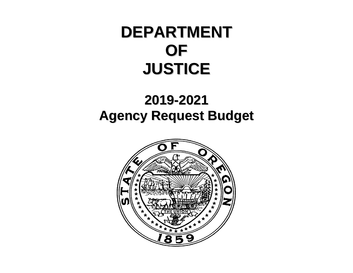# **DEPARTMENT OF JUSTICE**

## **2019-2021 Agency Request Budget**

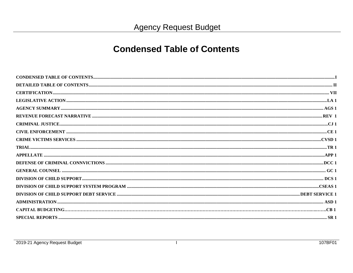#### **Condensed Table of Contents**

 $\mathbf{I}$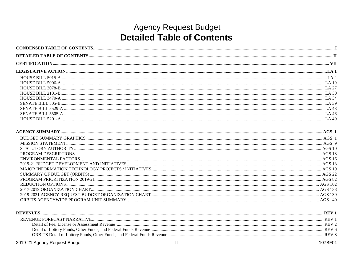#### **Detailed Table of Contents**

| <b>REVENUE</b>                     |  |
|------------------------------------|--|
| <b>REVENUE FORECAST NARRATIVE.</b> |  |
|                                    |  |
|                                    |  |
|                                    |  |
|                                    |  |

2019-21 Agency Request Budget

107BF01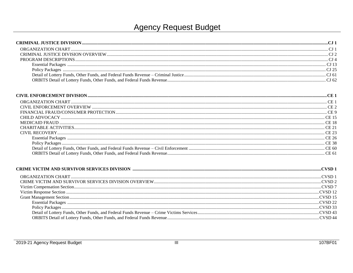| CE15  |
|-------|
|       |
|       |
|       |
|       |
|       |
| CE 60 |
| CE 61 |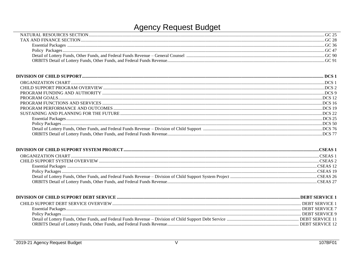| NATURAL RESOURCES SECTION |       |
|---------------------------|-------|
| AND FINANCE SECTION       |       |
| <b>Essential Packages</b> |       |
| Policy Packages           |       |
|                           | 3C 90 |
|                           |       |

| Detail of Lottery Funds, Other Funds, and Federal Funds Revenue - Division of Child Support manufactured manufactured manufactured manufactured 76 76 |  |
|-------------------------------------------------------------------------------------------------------------------------------------------------------|--|
|                                                                                                                                                       |  |
|                                                                                                                                                       |  |

| 'SEAS-   |
|----------|
| CSEAS 2  |
| CSEAS 12 |
| CSEAS 19 |
|          |
|          |

| DEBT SERVICE 1        |
|-----------------------|
| DEBT SERVICE $\gamma$ |
| DEBT SERVICE 9        |
|                       |
|                       |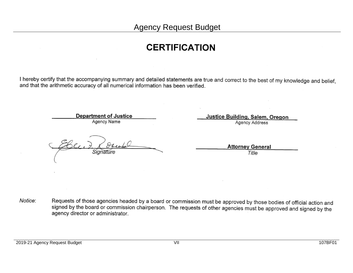#### **CERTIFICATION**

I hereby certify that the accompanying summary and detailed statements are true and correct to the best of my knowledge and belief, and that the arithmetic accuracy of all numerical information has been verified.

> **Department of Justice** Agency Name

Justice Building, Salem, Oregon

Agency Address

**Attorney General** Title

Requests of those agencies headed by a board or commission must be approved by those bodies of official action and Notice: signed by the board or commission chairperson. The requests of other agencies must be approved and signed by the agency director or administrator.